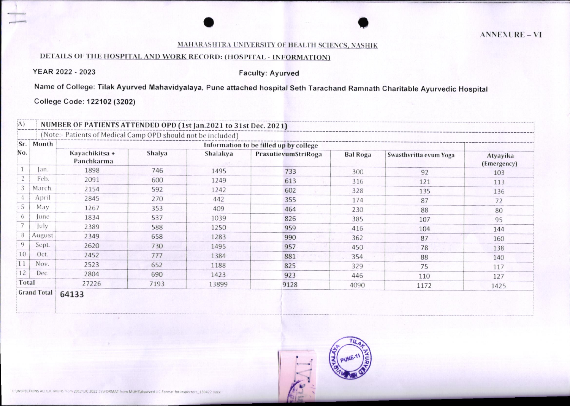## MAHARASHTRA UNIVERSITY OF HEALTH SCIENCS, NASHIK

## DETAILS OF THE HOSPITAL AND WORK RECORD: (HOSPITAL - INFORMATION)

YEAR 2022 - 2023

## **Faculty: Ayurved**

Name of College: Tilak Ayurved Mahavidyalaya, Pune attached hospital Seth Tarachand Ramnath Charitable Ayurvedic Hospital

College Code: 122102 (3202)

| Sr.          | Month      |                              |        |          | Information to be filled up by college |                 |                        |                         |
|--------------|------------|------------------------------|--------|----------|----------------------------------------|-----------------|------------------------|-------------------------|
| No.          |            | Kayachikitsa +<br>Panchkarma | Shalya | Shalakya | PrasutievumStriRoga                    | <b>Bal Roga</b> | Swasthvritta evum Yoga | Atyayika<br>(Emergency) |
|              | lan.       | 1898                         | 746    | 1495     | 733                                    | 300             | 92                     | 103                     |
|              | Feb.       | 2091                         | 600    | 1249     | 613                                    | 316             | 121                    | 113                     |
|              | March.     | 2154                         | 592    | 1242     | 602                                    | 328             | 135                    | 136                     |
|              | April      | 2845                         | 270    | 442      | 355                                    | 174             | 87                     | 72                      |
|              | May        | 1267                         | 353    | 409      | 464                                    | 230             | 88                     | 80                      |
| 6            | <i>une</i> | 1834                         | 537    | 1039     | 826                                    | 385             | 107                    | 95                      |
|              | July       | 2389                         | 588    | 1250     | 959                                    | 416             | 104                    | 144                     |
| 8            | August     | 2349                         | 658    | 1283     | 990                                    | 362             | 87                     | 160                     |
| $\mathbf{Q}$ | Sept.      | 2620                         | 730    | 1495     | 957                                    | 450             | 78                     | 138                     |
| 10           | Oct.       | 2452                         | 777    | 1384     | 881                                    | 354             | 88                     | 140                     |
| 11           | Nov.       | 2523                         | 652    | 1188     | 825                                    | 329             | 75                     | 117                     |
| 12           | Dec.       | 2804                         | 690    | 1423     | 923                                    | 446             | 110                    | 127                     |
| Total        |            | 27226                        | 7193   | 13899    | 9128                                   | 4090            | 1172                   | 1425                    |